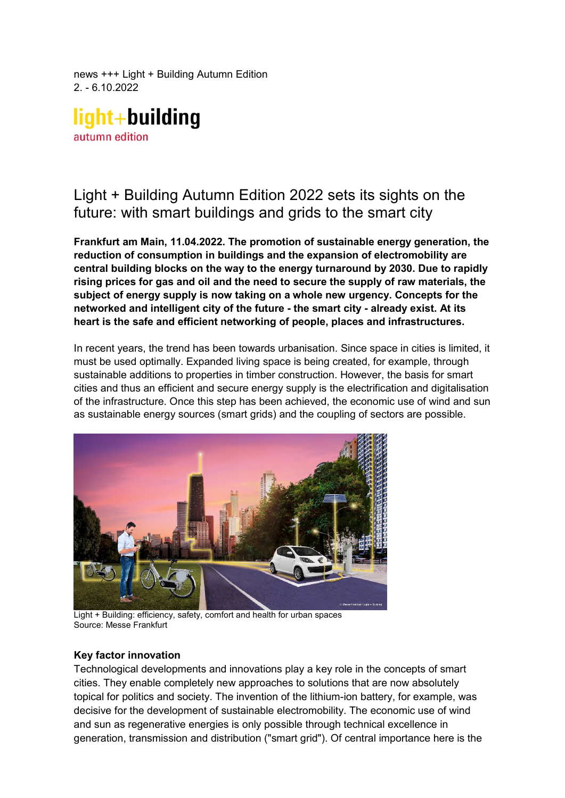news +++ Light + Building Autumn Edition 2. - 6.10.2022

light+building autumn edition

# Light + Building Autumn Edition 2022 sets its sights on the future: with smart buildings and grids to the smart city

**Frankfurt am Main, 11.04.2022. The promotion of sustainable energy generation, the reduction of consumption in buildings and the expansion of electromobility are central building blocks on the way to the energy turnaround by 2030. Due to rapidly rising prices for gas and oil and the need to secure the supply of raw materials, the subject of energy supply is now taking on a whole new urgency. Concepts for the networked and intelligent city of the future - the smart city - already exist. At its heart is the safe and efficient networking of people, places and infrastructures.** 

In recent years, the trend has been towards urbanisation. Since space in cities is limited, it must be used optimally. Expanded living space is being created, for example, through sustainable additions to properties in timber construction. However, the basis for smart cities and thus an efficient and secure energy supply is the electrification and digitalisation of the infrastructure. Once this step has been achieved, the economic use of wind and sun as sustainable energy sources (smart grids) and the coupling of sectors are possible.



Light + Building: efficiency, safety, comfort and health for urban spaces Source: Messe Frankfurt

# **Key factor innovation**

Technological developments and innovations play a key role in the concepts of smart cities. They enable completely new approaches to solutions that are now absolutely topical for politics and society. The invention of the lithium-ion battery, for example, was decisive for the development of sustainable electromobility. The economic use of wind and sun as regenerative energies is only possible through technical excellence in generation, transmission and distribution ("smart grid"). Of central importance here is the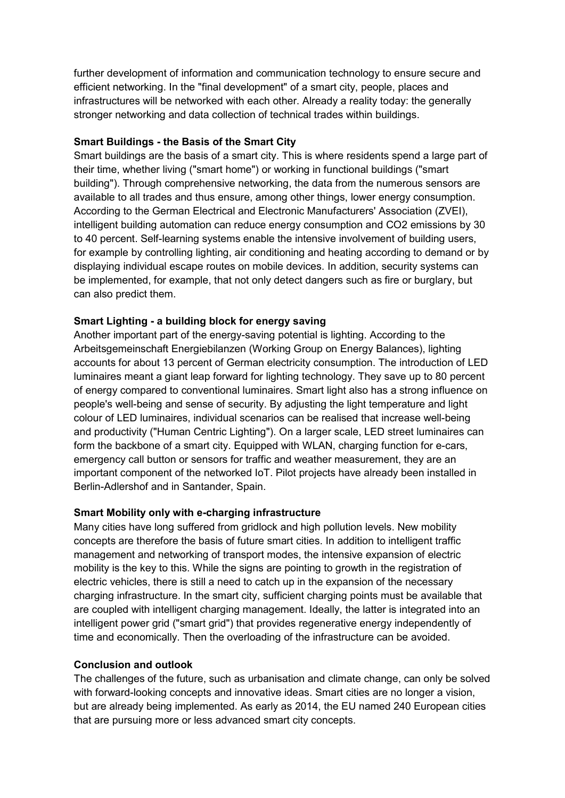further development of information and communication technology to ensure secure and efficient networking. In the "final development" of a smart city, people, places and infrastructures will be networked with each other. Already a reality today: the generally stronger networking and data collection of technical trades within buildings.

### **Smart Buildings - the Basis of the Smart City**

Smart buildings are the basis of a smart city. This is where residents spend a large part of their time, whether living ("smart home") or working in functional buildings ("smart building"). Through comprehensive networking, the data from the numerous sensors are available to all trades and thus ensure, among other things, lower energy consumption. According to the German Electrical and Electronic Manufacturers' Association (ZVEI), intelligent building automation can reduce energy consumption and CO2 emissions by 30 to 40 percent. Self-learning systems enable the intensive involvement of building users, for example by controlling lighting, air conditioning and heating according to demand or by displaying individual escape routes on mobile devices. In addition, security systems can be implemented, for example, that not only detect dangers such as fire or burglary, but can also predict them.

# **Smart Lighting - a building block for energy saving**

Another important part of the energy-saving potential is lighting. According to the Arbeitsgemeinschaft Energiebilanzen (Working Group on Energy Balances), lighting accounts for about 13 percent of German electricity consumption. The introduction of LED luminaires meant a giant leap forward for lighting technology. They save up to 80 percent of energy compared to conventional luminaires. Smart light also has a strong influence on people's well-being and sense of security. By adjusting the light temperature and light colour of LED luminaires, individual scenarios can be realised that increase well-being and productivity ("Human Centric Lighting"). On a larger scale, LED street luminaires can form the backbone of a smart city. Equipped with WLAN, charging function for e-cars, emergency call button or sensors for traffic and weather measurement, they are an important component of the networked IoT. Pilot projects have already been installed in Berlin-Adlershof and in Santander, Spain.

# **Smart Mobility only with e-charging infrastructure**

Many cities have long suffered from gridlock and high pollution levels. New mobility concepts are therefore the basis of future smart cities. In addition to intelligent traffic management and networking of transport modes, the intensive expansion of electric mobility is the key to this. While the signs are pointing to growth in the registration of electric vehicles, there is still a need to catch up in the expansion of the necessary charging infrastructure. In the smart city, sufficient charging points must be available that are coupled with intelligent charging management. Ideally, the latter is integrated into an intelligent power grid ("smart grid") that provides regenerative energy independently of time and economically. Then the overloading of the infrastructure can be avoided.

### **Conclusion and outlook**

The challenges of the future, such as urbanisation and climate change, can only be solved with forward-looking concepts and innovative ideas. Smart cities are no longer a vision, but are already being implemented. As early as 2014, the EU named 240 European cities that are pursuing more or less advanced smart city concepts.